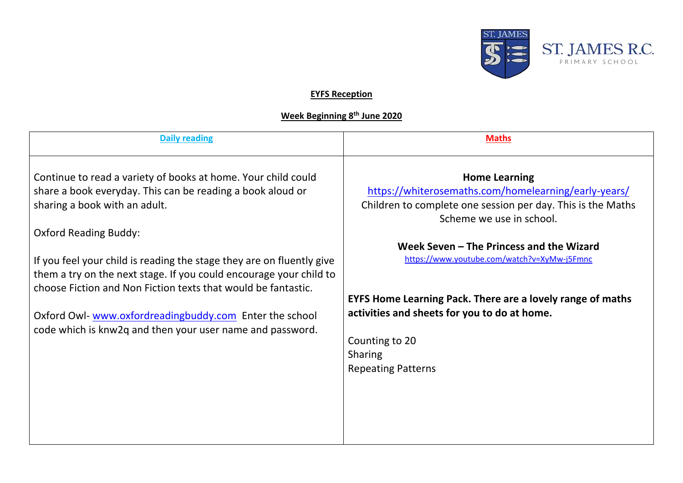

## **EYFS Reception**

## **Week Beginning 8th June 2020**

| <b>Daily reading</b>                                                                                                                                                                                                                                                                                                                                                                                                                                                                                                                | <b>Maths</b>                                                                                                                                                                                                                                                                                                                                                                                                                                             |
|-------------------------------------------------------------------------------------------------------------------------------------------------------------------------------------------------------------------------------------------------------------------------------------------------------------------------------------------------------------------------------------------------------------------------------------------------------------------------------------------------------------------------------------|----------------------------------------------------------------------------------------------------------------------------------------------------------------------------------------------------------------------------------------------------------------------------------------------------------------------------------------------------------------------------------------------------------------------------------------------------------|
| Continue to read a variety of books at home. Your child could<br>share a book everyday. This can be reading a book aloud or<br>sharing a book with an adult.<br><b>Oxford Reading Buddy:</b><br>If you feel your child is reading the stage they are on fluently give<br>them a try on the next stage. If you could encourage your child to<br>choose Fiction and Non Fiction texts that would be fantastic.<br>Oxford Owl-www.oxfordreadingbuddy.com Enter the school<br>code which is knw2q and then your user name and password. | <b>Home Learning</b><br>https://whiterosemaths.com/homelearning/early-years/<br>Children to complete one session per day. This is the Maths<br>Scheme we use in school.<br>Week Seven - The Princess and the Wizard<br>https://www.youtube.com/watch?v=XyMw-j5Fmnc<br><b>EYFS Home Learning Pack. There are a lovely range of maths</b><br>activities and sheets for you to do at home.<br>Counting to 20<br><b>Sharing</b><br><b>Repeating Patterns</b> |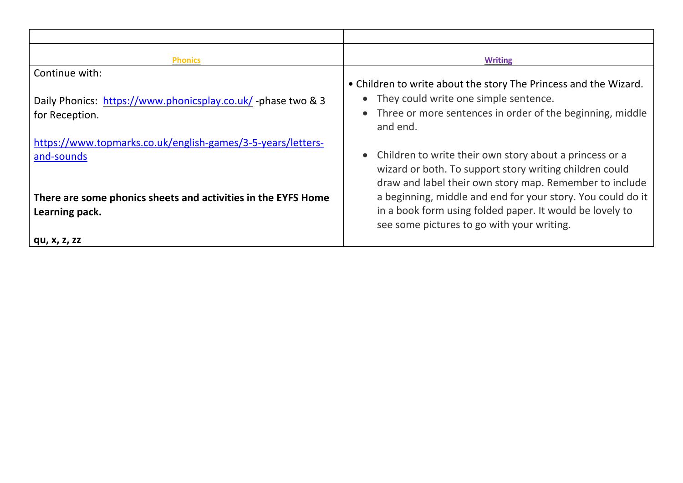| <b>Phonics</b>                                                                  | <b>Writing</b>                                                                                                                                                                                                                   |
|---------------------------------------------------------------------------------|----------------------------------------------------------------------------------------------------------------------------------------------------------------------------------------------------------------------------------|
| Continue with:                                                                  |                                                                                                                                                                                                                                  |
| Daily Phonics: https://www.phonicsplay.co.uk/-phase two & 3<br>for Reception.   | • Children to write about the story The Princess and the Wizard.<br>They could write one simple sentence.<br>Three or more sentences in order of the beginning, middle<br>and end.                                               |
| https://www.topmarks.co.uk/english-games/3-5-years/letters-<br>and-sounds       | Children to write their own story about a princess or a<br>wizard or both. To support story writing children could                                                                                                               |
| There are some phonics sheets and activities in the EYFS Home<br>Learning pack. | draw and label their own story map. Remember to include<br>a beginning, middle and end for your story. You could do it<br>in a book form using folded paper. It would be lovely to<br>see some pictures to go with your writing. |
| qu, x, z, zz                                                                    |                                                                                                                                                                                                                                  |